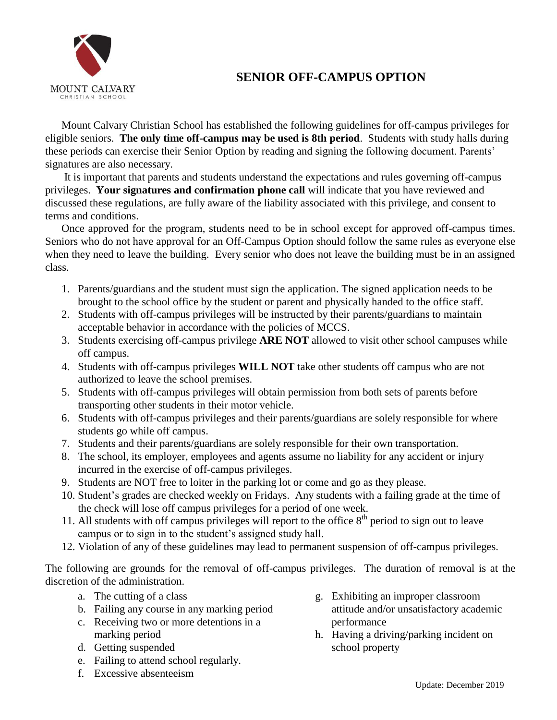

## **SENIOR OFF-CAMPUS OPTION**

Mount Calvary Christian School has established the following guidelines for off-campus privileges for eligible seniors. **The only time off-campus may be used is 8th period**. Students with study halls during these periods can exercise their Senior Option by reading and signing the following document. Parents' signatures are also necessary.

It is important that parents and students understand the expectations and rules governing off-campus privileges. **Your signatures and confirmation phone call** will indicate that you have reviewed and discussed these regulations, are fully aware of the liability associated with this privilege, and consent to terms and conditions.

Once approved for the program, students need to be in school except for approved off-campus times. Seniors who do not have approval for an Off-Campus Option should follow the same rules as everyone else when they need to leave the building. Every senior who does not leave the building must be in an assigned class.

- 1. Parents/guardians and the student must sign the application. The signed application needs to be brought to the school office by the student or parent and physically handed to the office staff.
- 2. Students with off-campus privileges will be instructed by their parents/guardians to maintain acceptable behavior in accordance with the policies of MCCS.
- 3. Students exercising off-campus privilege **ARE NOT** allowed to visit other school campuses while off campus.
- 4. Students with off-campus privileges **WILL NOT** take other students off campus who are not authorized to leave the school premises.
- 5. Students with off-campus privileges will obtain permission from both sets of parents before transporting other students in their motor vehicle.
- 6. Students with off-campus privileges and their parents/guardians are solely responsible for where students go while off campus.
- 7. Students and their parents/guardians are solely responsible for their own transportation.
- 8. The school, its employer, employees and agents assume no liability for any accident or injury incurred in the exercise of off-campus privileges.
- 9. Students are NOT free to loiter in the parking lot or come and go as they please.
- 10. Student's grades are checked weekly on Fridays. Any students with a failing grade at the time of the check will lose off campus privileges for a period of one week.
- 11. All students with off campus privileges will report to the office  $8<sup>th</sup>$  period to sign out to leave campus or to sign in to the student's assigned study hall.
- 12. Violation of any of these guidelines may lead to permanent suspension of off-campus privileges.

The following are grounds for the removal of off-campus privileges. The duration of removal is at the discretion of the administration.

- a. The cutting of a class
- b. Failing any course in any marking period
- c. Receiving two or more detentions in a marking period
- d. Getting suspended
- e. Failing to attend school regularly.
- f. Excessive absenteeism
- g. Exhibiting an improper classroom attitude and/or unsatisfactory academic performance
- h. Having a driving/parking incident on school property